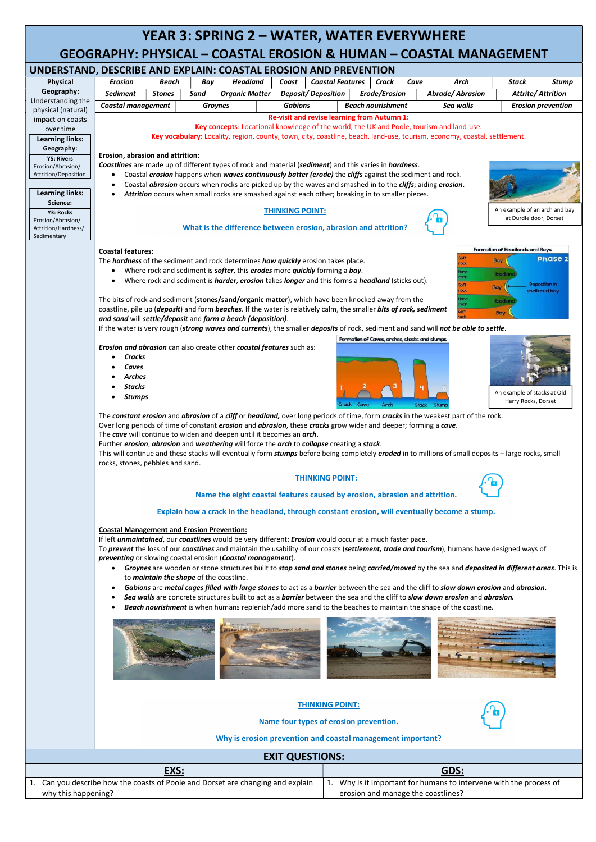## YEAR 3: SPRING 2 – WATER, WATER EVERYWHERE GEOGRAPHY: PHYSICAL – COASTAL EROSION & HUMAN – COASTAL MANAGEMENT UNDERSTAND, DESCRIBE AND EXPLAIN: COASTAL EROSION AND PREVENTION Erosion | Beach | Bay | Headland | Coast | Coastal Features | Crack | Cave | Arch | Stack | Stump Physical Geography: Sediment Stones Sand Organic Matter Deposit/ Deposition Erode/Erosion Abrade/ Abrasion Attrite/ Attrition Understanding the Coastal management | Groynes | Gabions | Beach nourishment | Sea walls | Erosion prevention physical (natural) Re-visit and revise learning from Autumn 1: impact on coasts Key concepts: Locational knowledge of the world, the UK and Poole, tourism and land-use. over time Key vocabulary: Locality, region, county, town, city, coastline, beach, land-use, tourism, economy, coastal, settlement. Learning links: Geography: Erosion, abrasion and attrition: Y5: Rivers Coastlines are made up of different types of rock and material (sediment) and this varies in hardness. Erosion/Abrasion/ Attrition/Deposition Coastal *erosion* happens when waves continuously batter (erode) the cliffs against the sediment and rock. Coastal *abrasion* occurs when rocks are picked up by the waves and smashed in to the *cliffs*; aiding *erosion*. Learning links: Attrition occurs when small rocks are smashed against each other; breaking in to smaller pieces. Science: An example of an arch and bay THINKING POINT: Y3: Rocks at Durdle door, Dorset Erosion/Abrasion/ What is the difference between erosion, abrasion and attrition? Attrition/Hardness/ Sedimentary Formation of Headlands and Bays Coastal features: Sof **Phase 2** Bay The *hardness* of the sediment and rock determines *how quickly* erosion takes place. Where rock and sediment is **softer**, this **erodes** more *quickly* forming a *bay*. Headla • Where rock and sediment is *harder, erosion* takes *longer* and this forms a *headland* (sticks out). ni noitiao Bay sheltered bay The bits of rock and sediment (stones/sand/organic matter), which have been knocked away from the Head coastline, pile up (deposit) and form beaches. If the water is relatively calm, the smaller bits of rock, sediment Bay and sand will settle/deposit and form a beach (deposition). If the water is very rough (strong waves and currents), the smaller deposits of rock, sediment and sand will not be able to settle. Formation of Caves, arches, stacks and stumps Erosion and abrasion can also create other coastal features such as: **Cracks**  Caves Arches Stacks An example of stacks at Old Stumps Harry Rocks, Dorset Crack Cave Arch Stack Stume The constant erosion and abrasion of a cliff or headland, over long periods of time, form cracks in the weakest part of the rock. Over long periods of time of constant *erosion* and *abrasion*, these *cracks* grow wider and deeper; forming a *cave*. The cave will continue to widen and deepen until it becomes an arch. Further erosion, abrasion and weathering will force the arch to collapse creating a stack. This will continue and these stacks will eventually form stumps before being completely eroded in to millions of small deposits – large rocks, small rocks, stones, pebbles and sand. THINKING POINT: Name the eight coastal features caused by erosion, abrasion and attrition. Explain how a crack in the headland, through constant erosion, will eventually become a stump. Coastal Management and Erosion Prevention: If left *unmaintained*, our *coastlines* would be very different: *Erosion* would occur at a much faster pace. To prevent the loss of our coastlines and maintain the usability of our coasts (settlement, trade and tourism), humans have designed ways of preventing or slowing coastal erosion (Coastal management). • Groynes are wooden or stone structures built to stop sand and stones being carried/moved by the sea and deposited in different areas. This is to *maintain the shape* of the coastline. Gabions are metal cages filled with large stones to act as a barrier between the sea and the cliff to slow down erosion and abrasion. Sea walls are concrete structures built to act as a barrier between the sea and the cliff to slow down erosion and abrasion. Beach nourishment is when humans replenish/add more sand to the beaches to maintain the shape of the coastline.

|                        |                                                                                 | <b>THINKING POINT:</b><br>Name four types of erosion prevention.<br>Why is erosion prevention and coastal management important? |  |
|------------------------|---------------------------------------------------------------------------------|---------------------------------------------------------------------------------------------------------------------------------|--|
| <b>EXIT QUESTIONS:</b> |                                                                                 |                                                                                                                                 |  |
| EXS:                   |                                                                                 | GDS:                                                                                                                            |  |
|                        | 1. Can you describe how the coasts of Poole and Dorset are changing and explain | Why is it important for humans to intervene with the process of<br><b>L.</b>                                                    |  |
| why this happening?    |                                                                                 | erosion and manage the coastlines?                                                                                              |  |